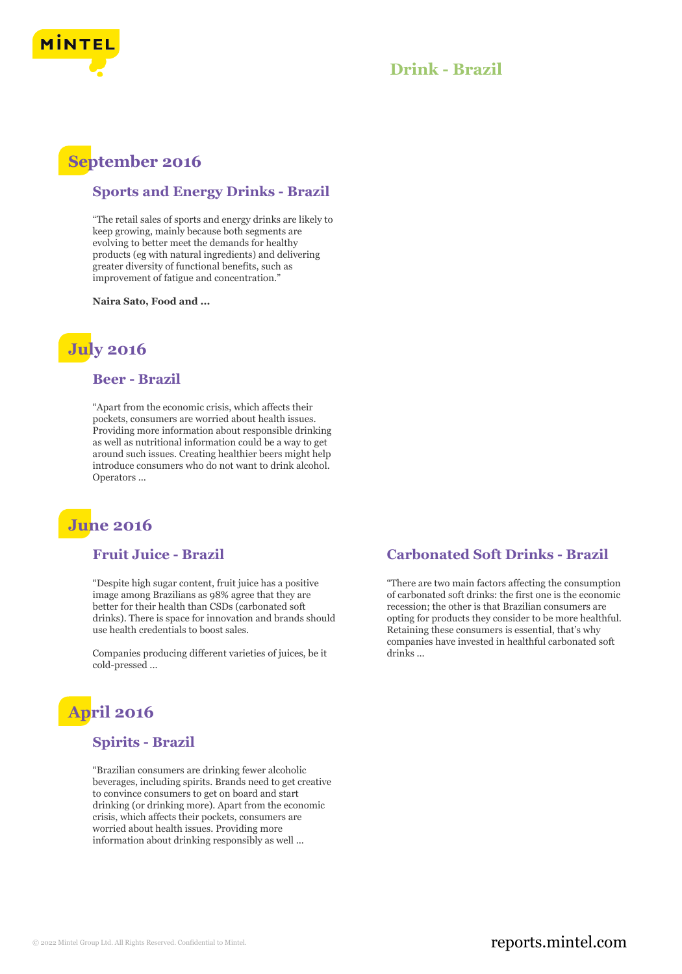

## **Drink - Brazil**

## **September 2016**

#### **Sports and Energy Drinks - Brazil**

"The retail sales of sports and energy drinks are likely to keep growing, mainly because both segments are evolving to better meet the demands for healthy products (eg with natural ingredients) and delivering greater diversity of functional benefits, such as improvement of fatigue and concentration."

**Naira Sato, Food and ...**

# **July 2016**

#### **Beer - Brazil**

"Apart from the economic crisis, which affects their pockets, consumers are worried about health issues. Providing more information about responsible drinking as well as nutritional information could be a way to get around such issues. Creating healthier beers might help introduce consumers who do not want to drink alcohol. Operators ...

# **June 2016**

### **Fruit Juice - Brazil**

"Despite high sugar content, fruit juice has a positive image among Brazilians as 98% agree that they are better for their health than CSDs (carbonated soft drinks). There is space for innovation and brands should use health credentials to boost sales.

Companies producing different varieties of juices, be it cold-pressed ...

# **April 2016**

#### **Spirits - Brazil**

"Brazilian consumers are drinking fewer alcoholic beverages, including spirits. Brands need to get creative to convince consumers to get on board and start drinking (or drinking more). Apart from the economic crisis, which affects their pockets, consumers are worried about health issues. Providing more information about drinking responsibly as well ...

#### **Carbonated Soft Drinks - Brazil**

"There are two main factors affecting the consumption of carbonated soft drinks: the first one is the economic recession; the other is that Brazilian consumers are opting for products they consider to be more healthful. Retaining these consumers is essential, that's why companies have invested in healthful carbonated soft drinks ...